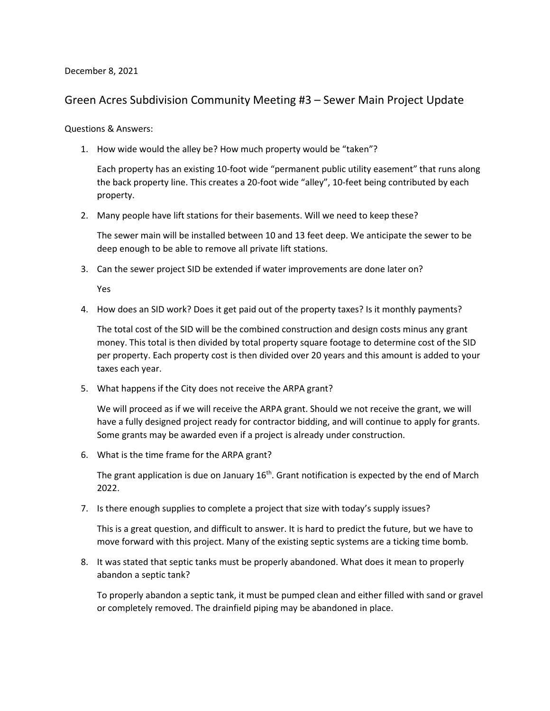## December 8, 2021

## Green Acres Subdivision Community Meeting #3 – Sewer Main Project Update

## Questions & Answers:

1. How wide would the alley be? How much property would be "taken"?

Each property has an existing 10-foot wide "permanent public utility easement" that runs along the back property line. This creates a 20-foot wide "alley", 10-feet being contributed by each property.

2. Many people have lift stations for their basements. Will we need to keep these?

The sewer main will be installed between 10 and 13 feet deep. We anticipate the sewer to be deep enough to be able to remove all private lift stations.

3. Can the sewer project SID be extended if water improvements are done later on?

Yes

4. How does an SID work? Does it get paid out of the property taxes? Is it monthly payments?

The total cost of the SID will be the combined construction and design costs minus any grant money. This total is then divided by total property square footage to determine cost of the SID per property. Each property cost is then divided over 20 years and this amount is added to your taxes each year.

5. What happens if the City does not receive the ARPA grant?

We will proceed as if we will receive the ARPA grant. Should we not receive the grant, we will have a fully designed project ready for contractor bidding, and will continue to apply for grants. Some grants may be awarded even if a project is already under construction.

6. What is the time frame for the ARPA grant?

The grant application is due on January  $16<sup>th</sup>$ . Grant notification is expected by the end of March 2022.

7. Is there enough supplies to complete a project that size with today's supply issues?

This is a great question, and difficult to answer. It is hard to predict the future, but we have to move forward with this project. Many of the existing septic systems are a ticking time bomb.

8. It was stated that septic tanks must be properly abandoned. What does it mean to properly abandon a septic tank?

To properly abandon a septic tank, it must be pumped clean and either filled with sand or gravel or completely removed. The drainfield piping may be abandoned in place.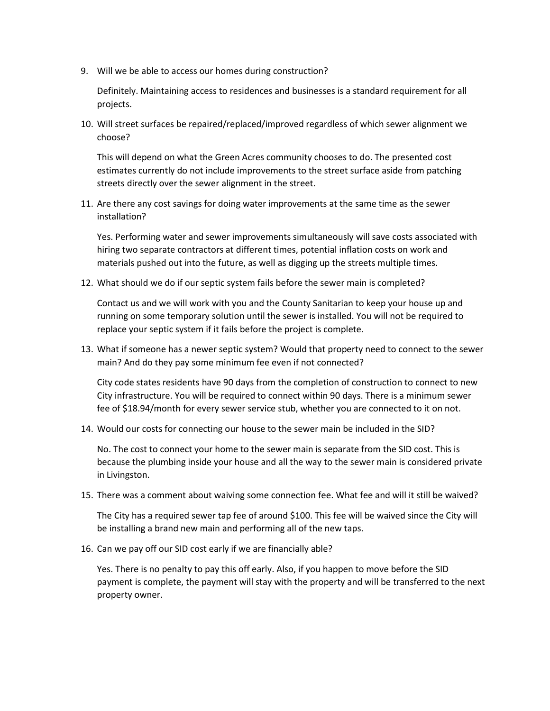9. Will we be able to access our homes during construction?

Definitely. Maintaining access to residences and businesses is a standard requirement for all projects.

10. Will street surfaces be repaired/replaced/improved regardless of which sewer alignment we choose?

This will depend on what the Green Acres community chooses to do. The presented cost estimates currently do not include improvements to the street surface aside from patching streets directly over the sewer alignment in the street.

11. Are there any cost savings for doing water improvements at the same time as the sewer installation?

Yes. Performing water and sewer improvements simultaneously will save costs associated with hiring two separate contractors at different times, potential inflation costs on work and materials pushed out into the future, as well as digging up the streets multiple times.

12. What should we do if our septic system fails before the sewer main is completed?

Contact us and we will work with you and the County Sanitarian to keep your house up and running on some temporary solution until the sewer is installed. You will not be required to replace your septic system if it fails before the project is complete.

13. What if someone has a newer septic system? Would that property need to connect to the sewer main? And do they pay some minimum fee even if not connected?

City code states residents have 90 days from the completion of construction to connect to new City infrastructure. You will be required to connect within 90 days. There is a minimum sewer fee of \$18.94/month for every sewer service stub, whether you are connected to it on not.

14. Would our costs for connecting our house to the sewer main be included in the SID?

No. The cost to connect your home to the sewer main is separate from the SID cost. This is because the plumbing inside your house and all the way to the sewer main is considered private in Livingston.

15. There was a comment about waiving some connection fee. What fee and will it still be waived?

The City has a required sewer tap fee of around \$100. This fee will be waived since the City will be installing a brand new main and performing all of the new taps.

16. Can we pay off our SID cost early if we are financially able?

Yes. There is no penalty to pay this off early. Also, if you happen to move before the SID payment is complete, the payment will stay with the property and will be transferred to the next property owner.